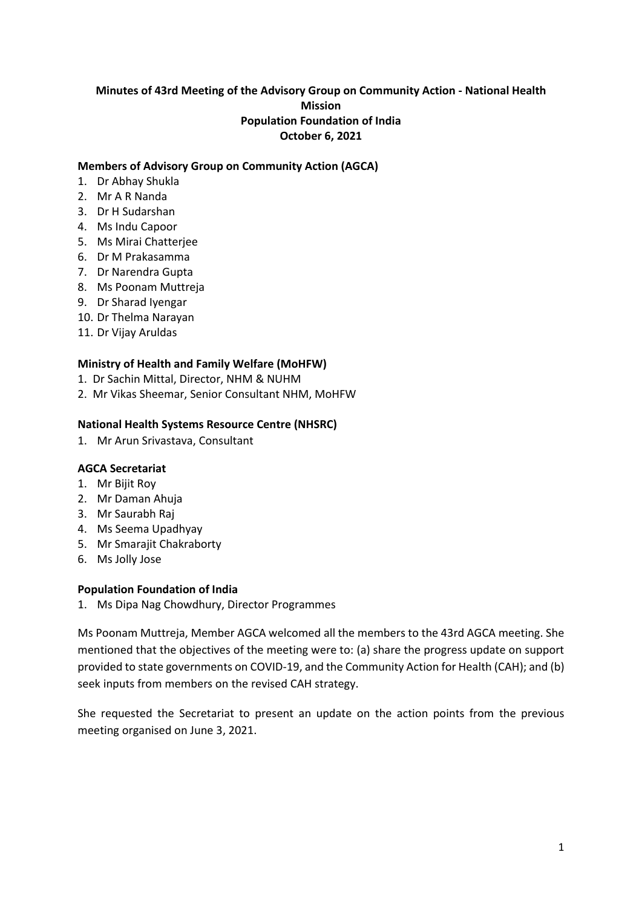## **Minutes of 43rd Meeting of the Advisory Group on Community Action - National Health Mission Population Foundation of India October 6, 2021**

### **Members of Advisory Group on Community Action (AGCA)**

- 1. Dr Abhay Shukla
- 2. Mr A R Nanda
- 3. Dr H Sudarshan
- 4. Ms Indu Capoor
- 5. Ms Mirai Chatterjee
- 6. Dr M Prakasamma
- 7. Dr Narendra Gupta
- 8. Ms Poonam Muttreja
- 9. Dr Sharad Iyengar
- 10. Dr Thelma Narayan
- 11. Dr Vijay Aruldas

### **Ministry of Health and Family Welfare (MoHFW)**

- 1. Dr Sachin Mittal, Director, NHM & NUHM
- 2. Mr Vikas Sheemar, Senior Consultant NHM, MoHFW

### **National Health Systems Resource Centre (NHSRC)**

1. Mr Arun Srivastava, Consultant

### **AGCA Secretariat**

- 1. Mr Bijit Roy
- 2. Mr Daman Ahuja
- 3. Mr Saurabh Raj
- 4. Ms Seema Upadhyay
- 5. Mr Smarajit Chakraborty
- 6. Ms Jolly Jose

### **Population Foundation of India**

1. Ms Dipa Nag Chowdhury, Director Programmes

Ms Poonam Muttreja, Member AGCA welcomed all the members to the 43rd AGCA meeting. She mentioned that the objectives of the meeting were to: (a) share the progress update on support provided to state governments on COVID-19, and the Community Action for Health (CAH); and (b) seek inputs from members on the revised CAH strategy.

She requested the Secretariat to present an update on the action points from the previous meeting organised on June 3, 2021.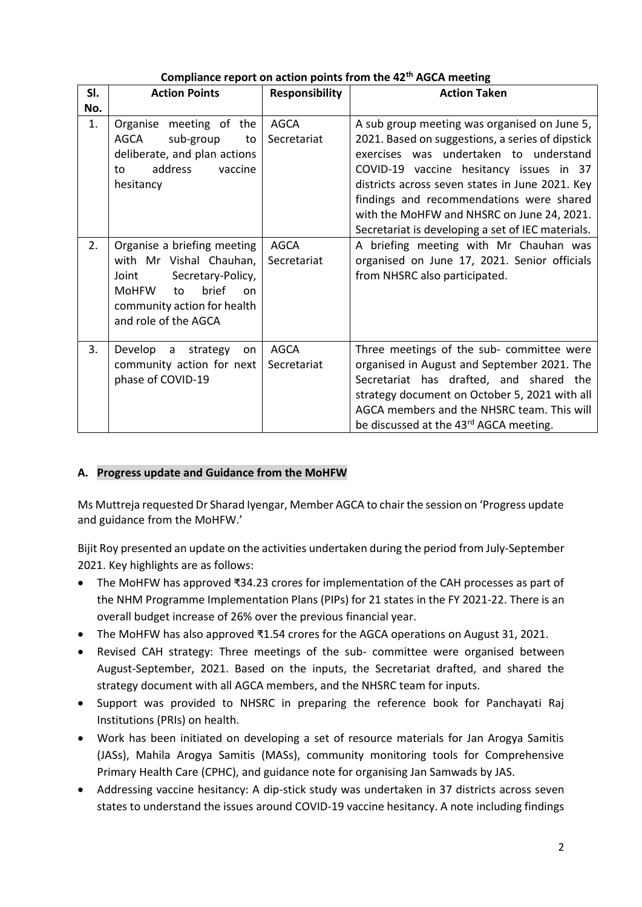| SI. | <b>Action Points</b>                                                                                                                                                             | Responsibility             | <b>Action Taken</b>                                                                                                                                                                                                                                                                                                                                                                     |
|-----|----------------------------------------------------------------------------------------------------------------------------------------------------------------------------------|----------------------------|-----------------------------------------------------------------------------------------------------------------------------------------------------------------------------------------------------------------------------------------------------------------------------------------------------------------------------------------------------------------------------------------|
| No. |                                                                                                                                                                                  |                            |                                                                                                                                                                                                                                                                                                                                                                                         |
| 1.  | Organise meeting of the<br>AGCA<br>sub-group<br>to<br>deliberate, and plan actions<br>address<br>vaccine<br>to<br>hesitancy                                                      | <b>AGCA</b><br>Secretariat | A sub group meeting was organised on June 5,<br>2021. Based on suggestions, a series of dipstick<br>exercises was undertaken to understand<br>COVID-19 vaccine hesitancy issues in 37<br>districts across seven states in June 2021. Key<br>findings and recommendations were shared<br>with the MoHFW and NHSRC on June 24, 2021.<br>Secretariat is developing a set of IEC materials. |
| 2.  | Organise a briefing meeting<br>with Mr Vishal Chauhan,<br>Joint<br>Secretary-Policy,<br>brief<br><b>MoHFW</b><br>to<br>on<br>community action for health<br>and role of the AGCA | AGCA<br>Secretariat        | A briefing meeting with Mr Chauhan was<br>organised on June 17, 2021. Senior officials<br>from NHSRC also participated.                                                                                                                                                                                                                                                                 |
| 3.  | Develop a strategy<br>on<br>community action for next<br>phase of COVID-19                                                                                                       | AGCA<br>Secretariat        | Three meetings of the sub- committee were<br>organised in August and September 2021. The<br>Secretariat has drafted, and shared the<br>strategy document on October 5, 2021 with all<br>AGCA members and the NHSRC team. This will<br>be discussed at the 43 <sup>rd</sup> AGCA meeting.                                                                                                |

# **Compliance report on action points from the 42th AGCA meeting**

## **A. Progress update and Guidance from the MoHFW**

Ms Muttreja requested Dr Sharad Iyengar, Member AGCA to chair the session on 'Progress update and guidance from the MoHFW.'

Bijit Roy presented an update on the activities undertaken during the period from July-September 2021. Key highlights are as follows:

- The MoHFW has approved ₹34.23 crores for implementation of the CAH processes as part of the NHM Programme Implementation Plans (PIPs) for 21 states in the FY 2021-22. There is an overall budget increase of 26% over the previous financial year.
- The MoHFW has also approved ₹1.54 crores for the AGCA operations on August 31, 2021.
- Revised CAH strategy: Three meetings of the sub- committee were organised between August-September, 2021. Based on the inputs, the Secretariat drafted, and shared the strategy document with all AGCA members, and the NHSRC team for inputs.
- Support was provided to NHSRC in preparing the reference book for Panchayati Raj Institutions (PRIs) on health.
- Work has been initiated on developing a set of resource materials for Jan Arogya Samitis (JASs), Mahila Arogya Samitis (MASs), community monitoring tools for Comprehensive Primary Health Care (CPHC), and guidance note for organising Jan Samwads by JAS.
- Addressing vaccine hesitancy: A dip-stick study was undertaken in 37 districts across seven states to understand the issues around COVID-19 vaccine hesitancy. A note including findings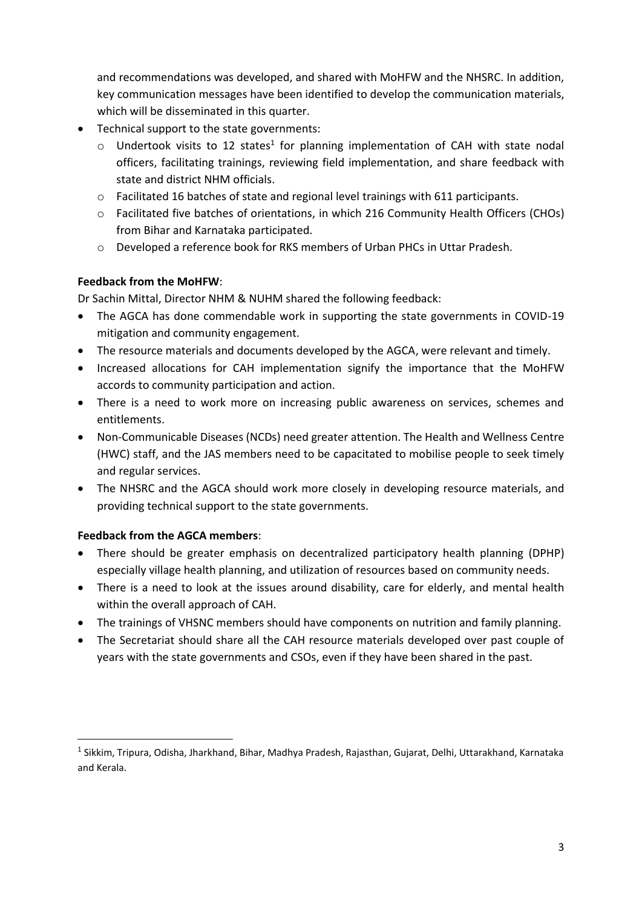and recommendations was developed, and shared with MoHFW and the NHSRC. In addition, key communication messages have been identified to develop the communication materials, which will be disseminated in this quarter.

- Technical support to the state governments:
	- $\circ$  Undertook visits to 12 states<sup>1</sup> for planning implementation of CAH with state nodal officers, facilitating trainings, reviewing field implementation, and share feedback with state and district NHM officials.
	- $\circ$  Facilitated 16 batches of state and regional level trainings with 611 participants.
	- o Facilitated five batches of orientations, in which 216 Community Health Officers (CHOs) from Bihar and Karnataka participated.
	- o Developed a reference book for RKS members of Urban PHCs in Uttar Pradesh.

# **Feedback from the MoHFW**:

Dr Sachin Mittal, Director NHM & NUHM shared the following feedback:

- The AGCA has done commendable work in supporting the state governments in COVID-19 mitigation and community engagement.
- The resource materials and documents developed by the AGCA, were relevant and timely.
- Increased allocations for CAH implementation signify the importance that the MoHFW accords to community participation and action.
- There is a need to work more on increasing public awareness on services, schemes and entitlements.
- Non-Communicable Diseases (NCDs) need greater attention. The Health and Wellness Centre (HWC) staff, and the JAS members need to be capacitated to mobilise people to seek timely and regular services.
- The NHSRC and the AGCA should work more closely in developing resource materials, and providing technical support to the state governments.

## **Feedback from the AGCA members**:

**.** 

- There should be greater emphasis on decentralized participatory health planning (DPHP) especially village health planning, and utilization of resources based on community needs.
- There is a need to look at the issues around disability, care for elderly, and mental health within the overall approach of CAH.
- The trainings of VHSNC members should have components on nutrition and family planning.
- The Secretariat should share all the CAH resource materials developed over past couple of years with the state governments and CSOs, even if they have been shared in the past.

<sup>1</sup> Sikkim, Tripura, Odisha, Jharkhand, Bihar, Madhya Pradesh, Rajasthan, Gujarat, Delhi, Uttarakhand, Karnataka and Kerala.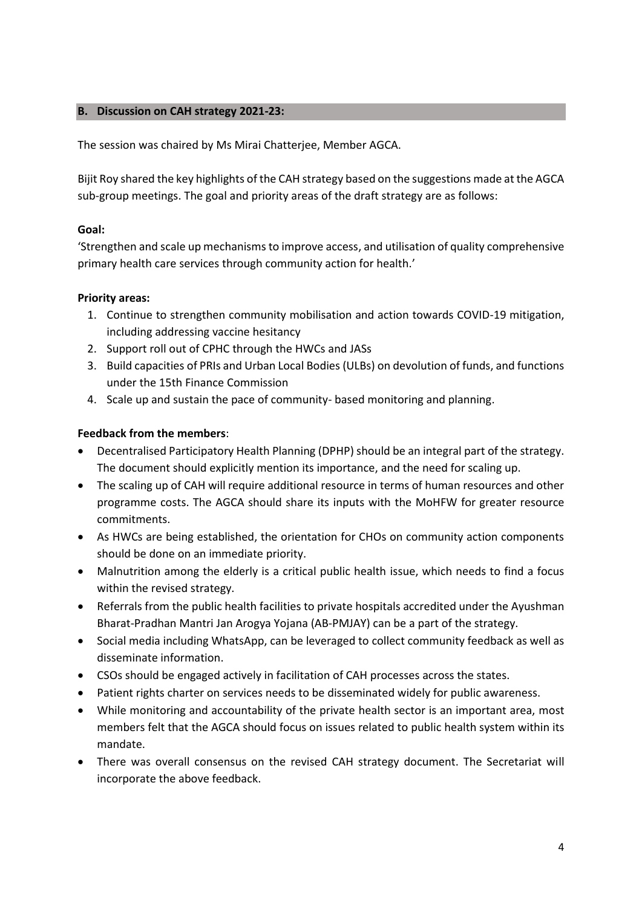### **B. Discussion on CAH strategy 2021-23:**

The session was chaired by Ms Mirai Chatterjee, Member AGCA.

Bijit Roy shared the key highlights of the CAH strategy based on the suggestions made at the AGCA sub-group meetings. The goal and priority areas of the draft strategy are as follows:

## **Goal:**

'Strengthen and scale up mechanisms to improve access, and utilisation of quality comprehensive primary health care services through community action for health.'

## **Priority areas:**

- 1. Continue to strengthen community mobilisation and action towards COVID-19 mitigation, including addressing vaccine hesitancy
- 2. Support roll out of CPHC through the HWCs and JASs
- 3. Build capacities of PRIs and Urban Local Bodies (ULBs) on devolution of funds, and functions under the 15th Finance Commission
- 4. Scale up and sustain the pace of community- based monitoring and planning.

## **Feedback from the members**:

- Decentralised Participatory Health Planning (DPHP) should be an integral part of the strategy. The document should explicitly mention its importance, and the need for scaling up.
- The scaling up of CAH will require additional resource in terms of human resources and other programme costs. The AGCA should share its inputs with the MoHFW for greater resource commitments.
- As HWCs are being established, the orientation for CHOs on community action components should be done on an immediate priority.
- Malnutrition among the elderly is a critical public health issue, which needs to find a focus within the revised strategy.
- Referrals from the public health facilities to private hospitals accredited under the Ayushman Bharat-Pradhan Mantri Jan Arogya Yojana (AB-PMJAY) can be a part of the strategy.
- Social media including WhatsApp, can be leveraged to collect community feedback as well as disseminate information.
- CSOs should be engaged actively in facilitation of CAH processes across the states.
- Patient rights charter on services needs to be disseminated widely for public awareness.
- While monitoring and accountability of the private health sector is an important area, most members felt that the AGCA should focus on issues related to public health system within its mandate.
- There was overall consensus on the revised CAH strategy document. The Secretariat will incorporate the above feedback.